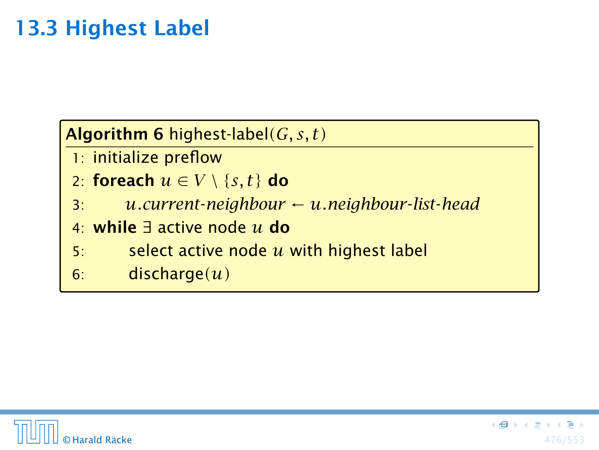### Algorithm 6 highest-label*(G, s, t)*

- 1: initialize preflow
- 2: foreach  $u \in V \setminus \{s, t\}$  do
- 3: *u.current*-*neighbour* ← *u.neighbour*-*list*-*head*
- 4: while ∃ active node *u* do
- 5: select active node *u* with highest label
- 6: discharge*(u)*

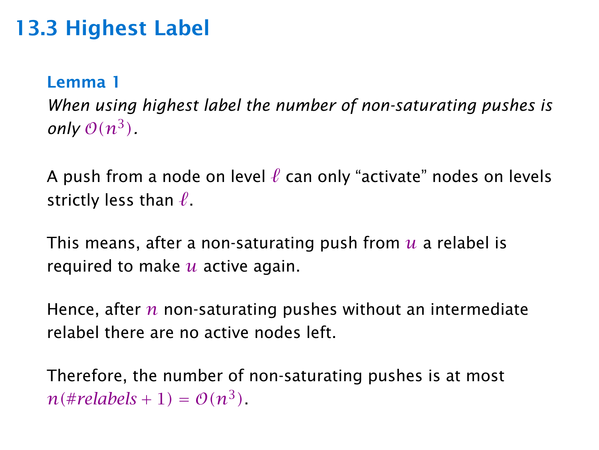#### Lemma 1

*When using highest label the number of non-saturating pushes is only*  $O(n^3)$ .

A push from a node on level  $\ell$  can only "activate" nodes on levels strictly less than  $\ell$ .

This means, after a non-saturating push from *u* a relabel is required to make *u* active again.

Hence, after *n* non-saturating pushes without an intermediate relabel there are no active nodes left.

Therefore, the number of non-saturating pushes is at most  $n$  (#*relabels* + 1) =  $O(n^3)$ .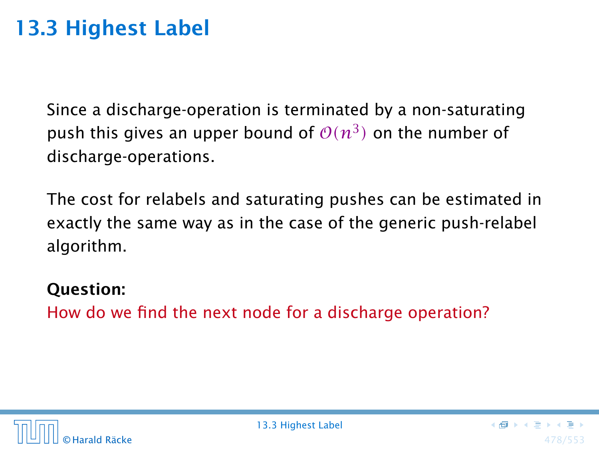Since a discharge-operation is terminated by a non-saturating push this gives an upper bound of  $\mathcal{O}(n^3)$  on the number of discharge-operations.

The cost for relabels and saturating pushes can be estimated in exactly the same way as in the case of the generic push-relabel algorithm.

#### Question:

How do we find the next node for a discharge operation?

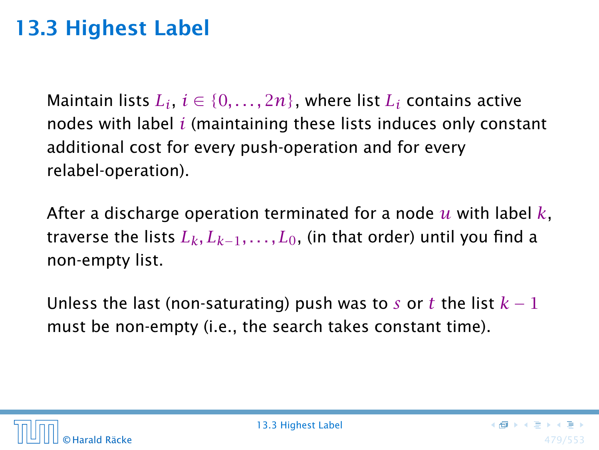$\textsf{Maintain lists}\text{ }L_i,\text{ }i\in\{0,\ldots,2n\},\text{ where } \text{list}\text{ }L_i\text{ contains active}\text{ }$ nodes with label *i* (maintaining these lists induces only constant additional cost for every push-operation and for every relabel-operation).

After a discharge operation terminated for a node *u* with label *k*, traverse the lists  $L_k, L_{k-1}, \ldots, L_0$ , (in that order) until you find a non-empty list.

Unless the last (non-saturating) push was to *s* or *t* the list  $k-1$ must be non-empty (i.e., the search takes constant time).

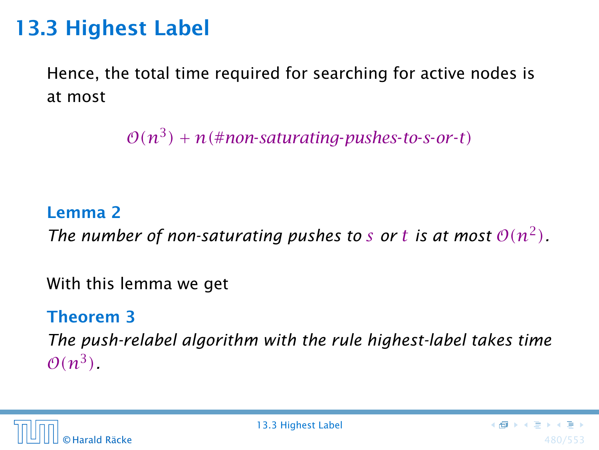Hence, the total time required for searching for active nodes is at most

 $O(n^3) + n$ (#non-saturating-pushes-to-s-or-t)

#### Lemma 2

*The number of non-saturating pushes to s or t is at most*  $O(n^2)$ *.* 

With this lemma we get

#### Theorem 3

*The push-relabel algorithm with the rule highest-label takes time*  $\mathcal{O}(n^3)$ .